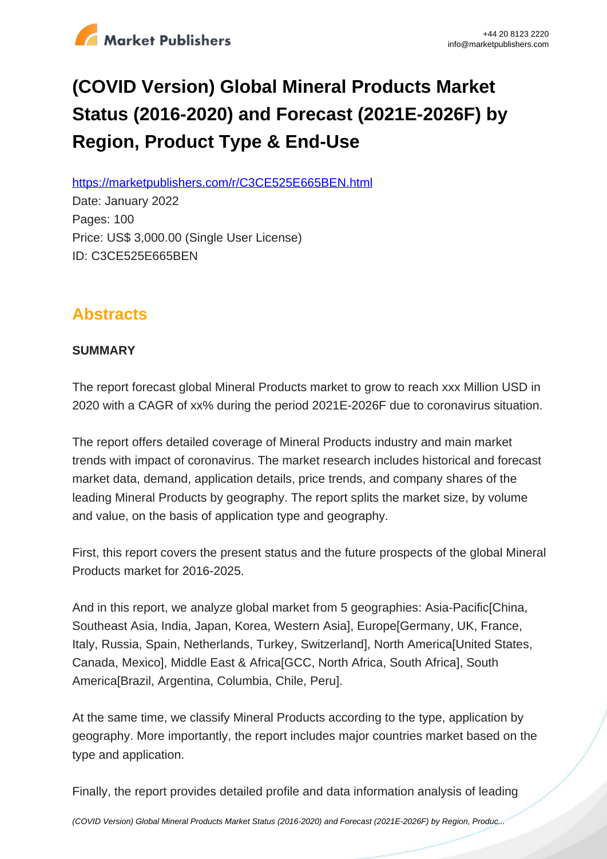

# **(COVID Version) Global Mineral Products Market Status (2016-2020) and Forecast (2021E-2026F) by Region, Product Type & End-Use**

https://marketpublishers.com/r/C3CE525E665BEN.html

Date: January 2022 Pages: 100 Price: US\$ 3,000.00 (Single User License) ID: C3CE525E665BEN

# **Abstracts**

#### **SUMMARY**

The report forecast global Mineral Products market to grow to reach xxx Million USD in 2020 with a CAGR of xx% during the period 2021E-2026F due to coronavirus situation.

The report offers detailed coverage of Mineral Products industry and main market trends with impact of coronavirus. The market research includes historical and forecast market data, demand, application details, price trends, and company shares of the leading Mineral Products by geography. The report splits the market size, by volume and value, on the basis of application type and geography.

First, this report covers the present status and the future prospects of the global Mineral Products market for 2016-2025.

And in this report, we analyze global market from 5 geographies: Asia-Pacific[China, Southeast Asia, India, Japan, Korea, Western Asia], Europe[Germany, UK, France, Italy, Russia, Spain, Netherlands, Turkey, Switzerland], North America[United States, Canada, Mexico], Middle East & Africa[GCC, North Africa, South Africa], South America[Brazil, Argentina, Columbia, Chile, Peru].

At the same time, we classify Mineral Products according to the type, application by geography. More importantly, the report includes major countries market based on the type and application.

Finally, the report provides detailed profile and data information analysis of leading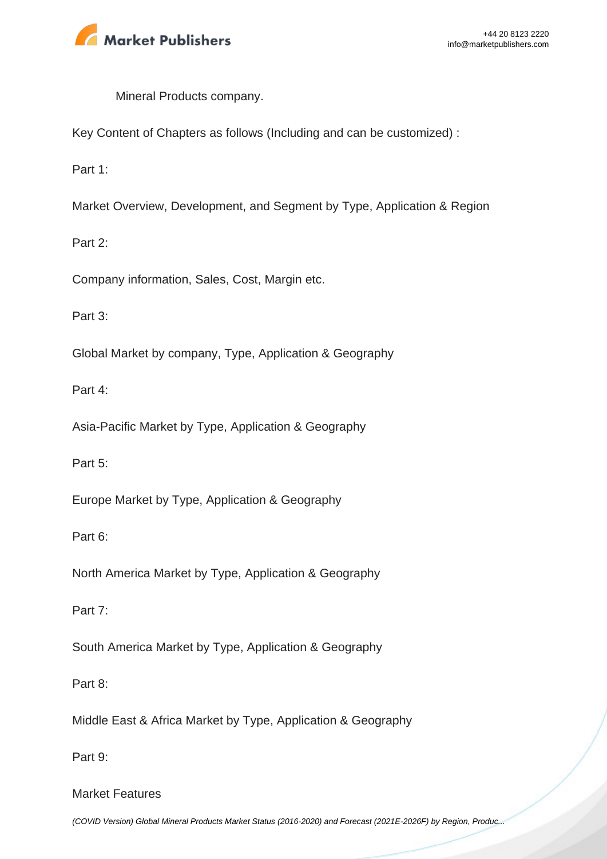

Mineral Products company.

Key Content of Chapters as follows (Including and can be customized) :

Part 1:

Market Overview, Development, and Segment by Type, Application & Region

Part 2:

Company information, Sales, Cost, Margin etc.

Part 3:

Global Market by company, Type, Application & Geography

Part 4:

Asia-Pacific Market by Type, Application & Geography

Part 5:

Europe Market by Type, Application & Geography

Part 6:

North America Market by Type, Application & Geography

Part 7:

South America Market by Type, Application & Geography

Part 8:

Middle East & Africa Market by Type, Application & Geography

Part 9:

Market Features

[\(COVID Version\) Global Mineral Products Market Status \(2016-2020\) and Forecast \(2021E-2026F\) by Region, Produc...](https://marketpublishers.com/report/chemicals_petrochemicals/other-chemicals-products/covid-version-global-mineral-products-market-status-2016-2020-n-forecast-2021e-2026f-by-region-product-type-end-use.html)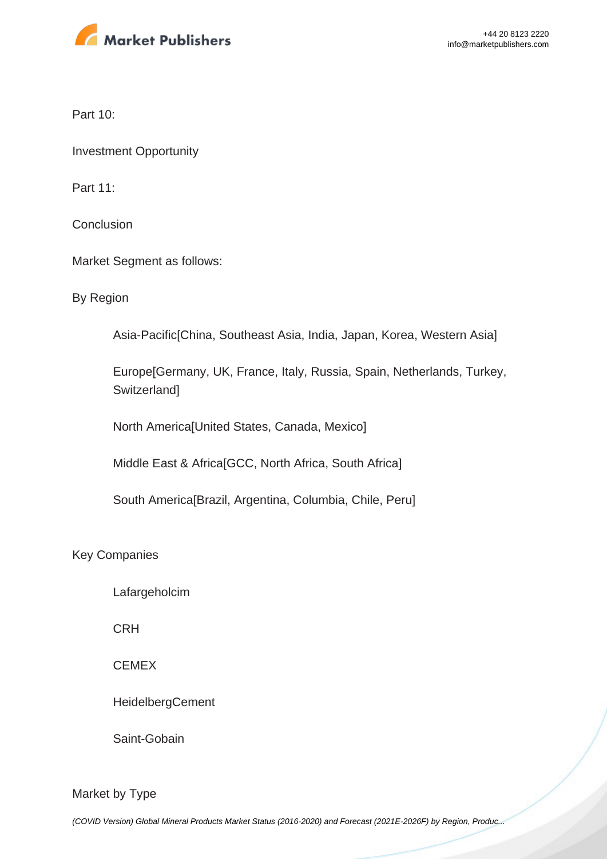

Part 10:

Investment Opportunity

Part 11:

**Conclusion** 

Market Segment as follows:

By Region

Asia-Pacific[China, Southeast Asia, India, Japan, Korea, Western Asia]

Europe[Germany, UK, France, Italy, Russia, Spain, Netherlands, Turkey, Switzerland]

North America[United States, Canada, Mexico]

Middle East & Africa[GCC, North Africa, South Africa]

South America[Brazil, Argentina, Columbia, Chile, Peru]

Key Companies

Lafargeholcim

**CRH** 

**CEMEX** 

**HeidelbergCement** 

Saint-Gobain

Market by Type

[\(COVID Version\) Global Mineral Products Market Status \(2016-2020\) and Forecast \(2021E-2026F\) by Region, Produc...](https://marketpublishers.com/report/chemicals_petrochemicals/other-chemicals-products/covid-version-global-mineral-products-market-status-2016-2020-n-forecast-2021e-2026f-by-region-product-type-end-use.html)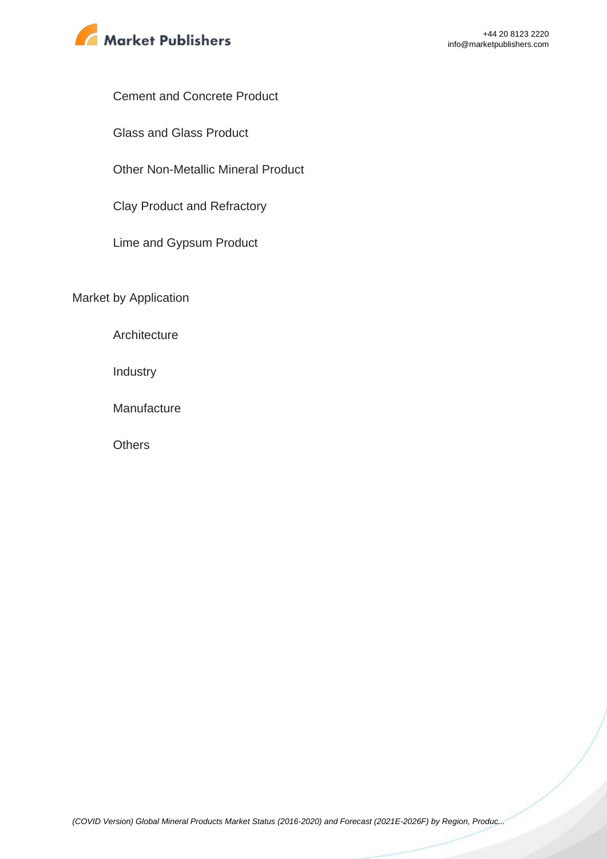

Cement and Concrete Product

Glass and Glass Product

Other Non-Metallic Mineral Product

Clay Product and Refractory

Lime and Gypsum Product

Market by Application

Architecture

Industry

**Manufacture** 

**Others**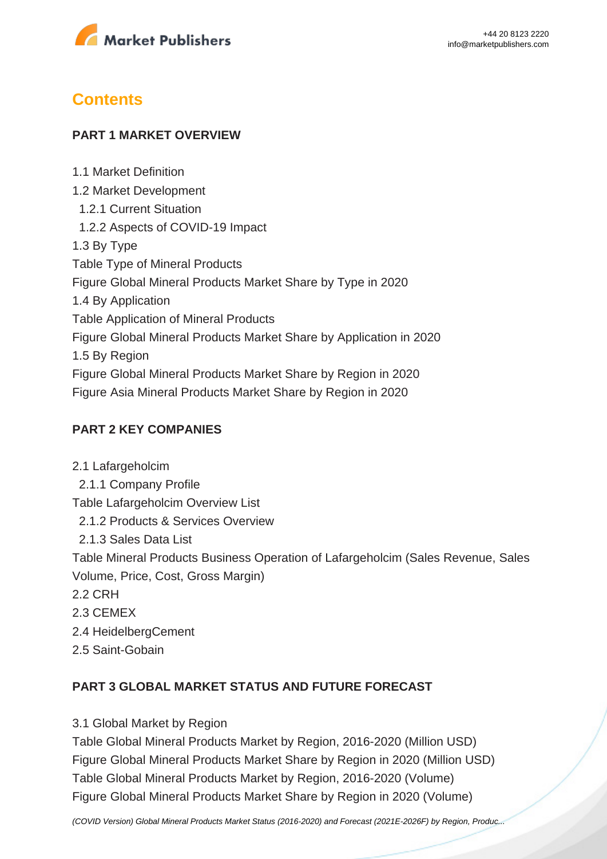

# **Contents**

#### **PART 1 MARKET OVERVIEW**

1.1 Market Definition 1.2 Market Development 1.2.1 Current Situation 1.2.2 Aspects of COVID-19 Impact 1.3 By Type Table Type of Mineral Products Figure Global Mineral Products Market Share by Type in 2020 1.4 By Application Table Application of Mineral Products Figure Global Mineral Products Market Share by Application in 2020 1.5 By Region Figure Global Mineral Products Market Share by Region in 2020 Figure Asia Mineral Products Market Share by Region in 2020

## **PART 2 KEY COMPANIES**

2.1 Lafargeholcim 2.1.1 Company Profile Table Lafargeholcim Overview List 2.1.2 Products & Services Overview 2.1.3 Sales Data List Table Mineral Products Business Operation of Lafargeholcim (Sales Revenue, Sales Volume, Price, Cost, Gross Margin) 2.2 CRH 2.3 CEMEX 2.4 HeidelbergCement 2.5 Saint-Gobain

## **PART 3 GLOBAL MARKET STATUS AND FUTURE FORECAST**

3.1 Global Market by Region

Table Global Mineral Products Market by Region, 2016-2020 (Million USD) Figure Global Mineral Products Market Share by Region in 2020 (Million USD) Table Global Mineral Products Market by Region, 2016-2020 (Volume) Figure Global Mineral Products Market Share by Region in 2020 (Volume)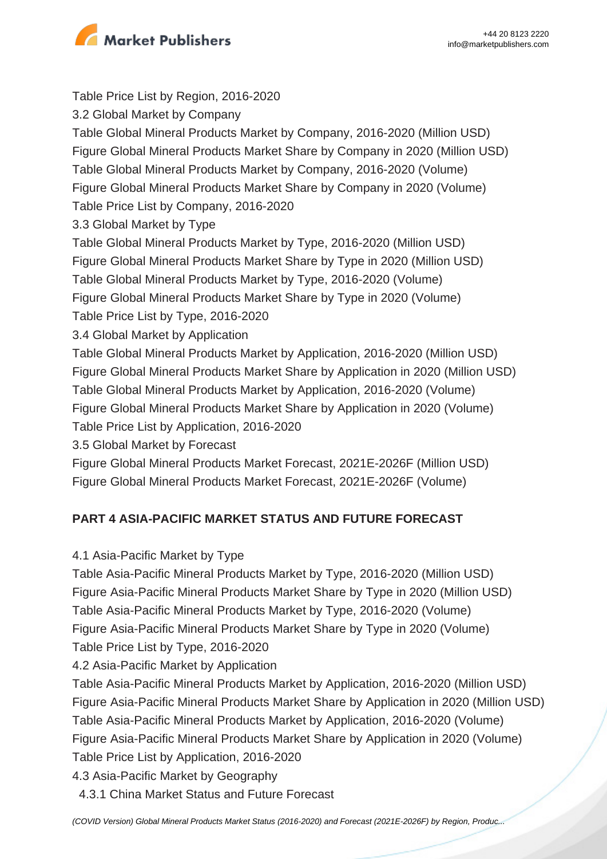

Table Price List by Region, 2016-2020 3.2 Global Market by Company Table Global Mineral Products Market by Company, 2016-2020 (Million USD) Figure Global Mineral Products Market Share by Company in 2020 (Million USD) Table Global Mineral Products Market by Company, 2016-2020 (Volume) Figure Global Mineral Products Market Share by Company in 2020 (Volume) Table Price List by Company, 2016-2020 3.3 Global Market by Type Table Global Mineral Products Market by Type, 2016-2020 (Million USD) Figure Global Mineral Products Market Share by Type in 2020 (Million USD) Table Global Mineral Products Market by Type, 2016-2020 (Volume) Figure Global Mineral Products Market Share by Type in 2020 (Volume) Table Price List by Type, 2016-2020 3.4 Global Market by Application Table Global Mineral Products Market by Application, 2016-2020 (Million USD) Figure Global Mineral Products Market Share by Application in 2020 (Million USD) Table Global Mineral Products Market by Application, 2016-2020 (Volume) Figure Global Mineral Products Market Share by Application in 2020 (Volume) Table Price List by Application, 2016-2020 3.5 Global Market by Forecast Figure Global Mineral Products Market Forecast, 2021E-2026F (Million USD) Figure Global Mineral Products Market Forecast, 2021E-2026F (Volume)

## **PART 4 ASIA-PACIFIC MARKET STATUS AND FUTURE FORECAST**

#### 4.1 Asia-Pacific Market by Type

Table Asia-Pacific Mineral Products Market by Type, 2016-2020 (Million USD) Figure Asia-Pacific Mineral Products Market Share by Type in 2020 (Million USD) Table Asia-Pacific Mineral Products Market by Type, 2016-2020 (Volume) Figure Asia-Pacific Mineral Products Market Share by Type in 2020 (Volume) Table Price List by Type, 2016-2020

4.2 Asia-Pacific Market by Application

Table Asia-Pacific Mineral Products Market by Application, 2016-2020 (Million USD) Figure Asia-Pacific Mineral Products Market Share by Application in 2020 (Million USD) Table Asia-Pacific Mineral Products Market by Application, 2016-2020 (Volume) Figure Asia-Pacific Mineral Products Market Share by Application in 2020 (Volume) Table Price List by Application, 2016-2020

4.3 Asia-Pacific Market by Geography

4.3.1 China Market Status and Future Forecast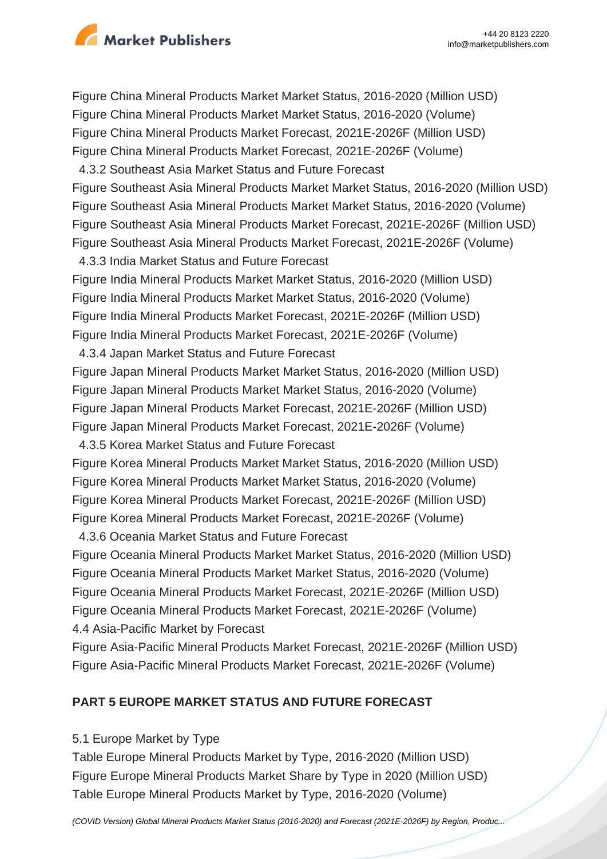

Figure China Mineral Products Market Market Status, 2016-2020 (Million USD) Figure China Mineral Products Market Market Status, 2016-2020 (Volume) Figure China Mineral Products Market Forecast, 2021E-2026F (Million USD) Figure China Mineral Products Market Forecast, 2021E-2026F (Volume) 4.3.2 Southeast Asia Market Status and Future Forecast Figure Southeast Asia Mineral Products Market Market Status, 2016-2020 (Million USD) Figure Southeast Asia Mineral Products Market Market Status, 2016-2020 (Volume) Figure Southeast Asia Mineral Products Market Forecast, 2021E-2026F (Million USD) Figure Southeast Asia Mineral Products Market Forecast, 2021E-2026F (Volume) 4.3.3 India Market Status and Future Forecast

Figure India Mineral Products Market Market Status, 2016-2020 (Million USD) Figure India Mineral Products Market Market Status, 2016-2020 (Volume) Figure India Mineral Products Market Forecast, 2021E-2026F (Million USD) Figure India Mineral Products Market Forecast, 2021E-2026F (Volume)

 4.3.4 Japan Market Status and Future Forecast Figure Japan Mineral Products Market Market Status, 2016-2020 (Million USD) Figure Japan Mineral Products Market Market Status, 2016-2020 (Volume) Figure Japan Mineral Products Market Forecast, 2021E-2026F (Million USD) Figure Japan Mineral Products Market Forecast, 2021E-2026F (Volume) 4.3.5 Korea Market Status and Future Forecast

Figure Korea Mineral Products Market Market Status, 2016-2020 (Million USD) Figure Korea Mineral Products Market Market Status, 2016-2020 (Volume) Figure Korea Mineral Products Market Forecast, 2021E-2026F (Million USD) Figure Korea Mineral Products Market Forecast, 2021E-2026F (Volume)

4.3.6 Oceania Market Status and Future Forecast

Figure Oceania Mineral Products Market Market Status, 2016-2020 (Million USD) Figure Oceania Mineral Products Market Market Status, 2016-2020 (Volume) Figure Oceania Mineral Products Market Forecast, 2021E-2026F (Million USD) Figure Oceania Mineral Products Market Forecast, 2021E-2026F (Volume) 4.4 Asia-Pacific Market by Forecast

Figure Asia-Pacific Mineral Products Market Forecast, 2021E-2026F (Million USD) Figure Asia-Pacific Mineral Products Market Forecast, 2021E-2026F (Volume)

#### **PART 5 EUROPE MARKET STATUS AND FUTURE FORECAST**

#### 5.1 Europe Market by Type

Table Europe Mineral Products Market by Type, 2016-2020 (Million USD) Figure Europe Mineral Products Market Share by Type in 2020 (Million USD) Table Europe Mineral Products Market by Type, 2016-2020 (Volume)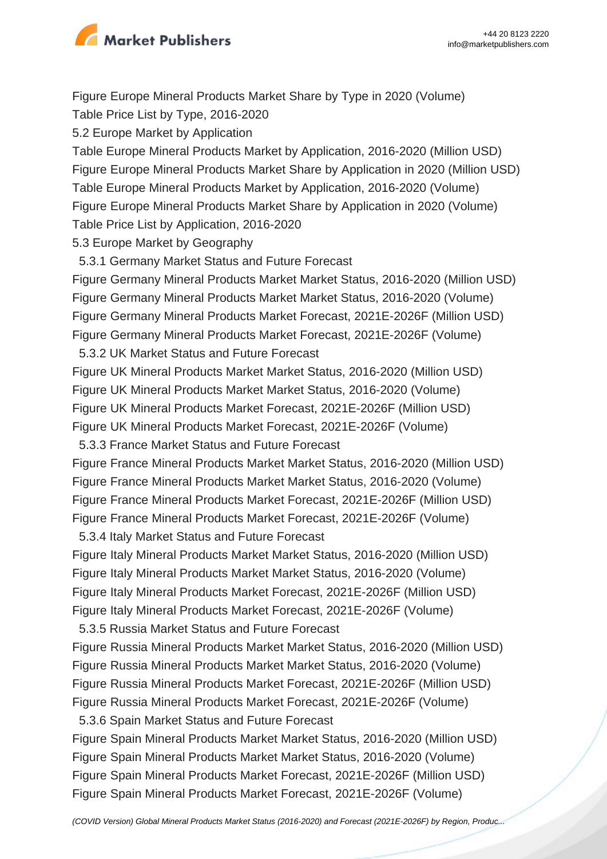

Figure Europe Mineral Products Market Share by Type in 2020 (Volume) Table Price List by Type, 2016-2020

5.2 Europe Market by Application

Table Europe Mineral Products Market by Application, 2016-2020 (Million USD) Figure Europe Mineral Products Market Share by Application in 2020 (Million USD) Table Europe Mineral Products Market by Application, 2016-2020 (Volume)

Figure Europe Mineral Products Market Share by Application in 2020 (Volume)

Table Price List by Application, 2016-2020

5.3 Europe Market by Geography

5.3.1 Germany Market Status and Future Forecast

Figure Germany Mineral Products Market Market Status, 2016-2020 (Million USD) Figure Germany Mineral Products Market Market Status, 2016-2020 (Volume) Figure Germany Mineral Products Market Forecast, 2021E-2026F (Million USD) Figure Germany Mineral Products Market Forecast, 2021E-2026F (Volume)

5.3.2 UK Market Status and Future Forecast

Figure UK Mineral Products Market Market Status, 2016-2020 (Million USD) Figure UK Mineral Products Market Market Status, 2016-2020 (Volume) Figure UK Mineral Products Market Forecast, 2021E-2026F (Million USD) Figure UK Mineral Products Market Forecast, 2021E-2026F (Volume)

5.3.3 France Market Status and Future Forecast

Figure France Mineral Products Market Market Status, 2016-2020 (Million USD) Figure France Mineral Products Market Market Status, 2016-2020 (Volume) Figure France Mineral Products Market Forecast, 2021E-2026F (Million USD) Figure France Mineral Products Market Forecast, 2021E-2026F (Volume) 5.3.4 Italy Market Status and Future Forecast

Figure Italy Mineral Products Market Market Status, 2016-2020 (Million USD) Figure Italy Mineral Products Market Market Status, 2016-2020 (Volume) Figure Italy Mineral Products Market Forecast, 2021E-2026F (Million USD) Figure Italy Mineral Products Market Forecast, 2021E-2026F (Volume)

5.3.5 Russia Market Status and Future Forecast

Figure Russia Mineral Products Market Market Status, 2016-2020 (Million USD) Figure Russia Mineral Products Market Market Status, 2016-2020 (Volume) Figure Russia Mineral Products Market Forecast, 2021E-2026F (Million USD) Figure Russia Mineral Products Market Forecast, 2021E-2026F (Volume)

5.3.6 Spain Market Status and Future Forecast

Figure Spain Mineral Products Market Market Status, 2016-2020 (Million USD) Figure Spain Mineral Products Market Market Status, 2016-2020 (Volume) Figure Spain Mineral Products Market Forecast, 2021E-2026F (Million USD) Figure Spain Mineral Products Market Forecast, 2021E-2026F (Volume)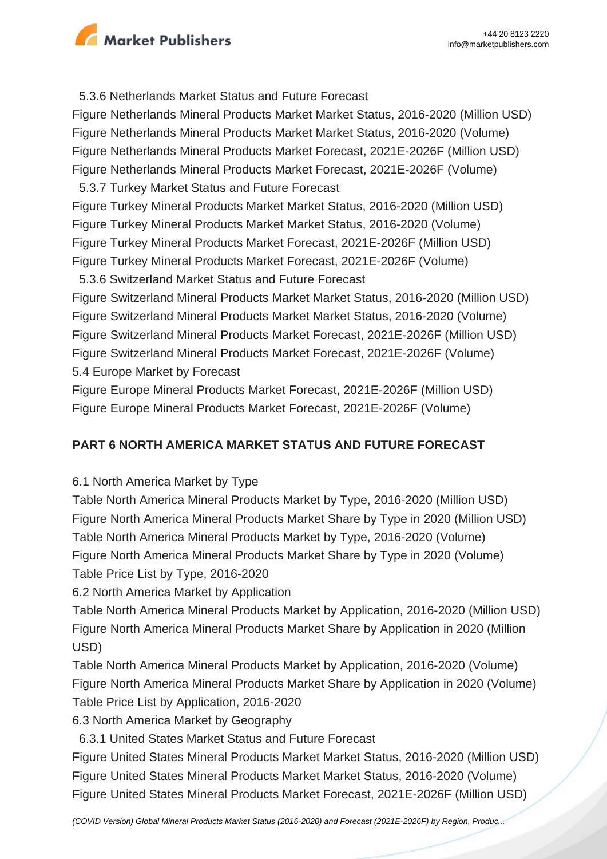

5.3.6 Netherlands Market Status and Future Forecast

Figure Netherlands Mineral Products Market Market Status, 2016-2020 (Million USD) Figure Netherlands Mineral Products Market Market Status, 2016-2020 (Volume) Figure Netherlands Mineral Products Market Forecast, 2021E-2026F (Million USD) Figure Netherlands Mineral Products Market Forecast, 2021E-2026F (Volume)

 5.3.7 Turkey Market Status and Future Forecast Figure Turkey Mineral Products Market Market Status, 2016-2020 (Million USD) Figure Turkey Mineral Products Market Market Status, 2016-2020 (Volume) Figure Turkey Mineral Products Market Forecast, 2021E-2026F (Million USD) Figure Turkey Mineral Products Market Forecast, 2021E-2026F (Volume)

5.3.6 Switzerland Market Status and Future Forecast

Figure Switzerland Mineral Products Market Market Status, 2016-2020 (Million USD) Figure Switzerland Mineral Products Market Market Status, 2016-2020 (Volume) Figure Switzerland Mineral Products Market Forecast, 2021E-2026F (Million USD) Figure Switzerland Mineral Products Market Forecast, 2021E-2026F (Volume) 5.4 Europe Market by Forecast

Figure Europe Mineral Products Market Forecast, 2021E-2026F (Million USD) Figure Europe Mineral Products Market Forecast, 2021E-2026F (Volume)

## **PART 6 NORTH AMERICA MARKET STATUS AND FUTURE FORECAST**

6.1 North America Market by Type

Table North America Mineral Products Market by Type, 2016-2020 (Million USD) Figure North America Mineral Products Market Share by Type in 2020 (Million USD) Table North America Mineral Products Market by Type, 2016-2020 (Volume) Figure North America Mineral Products Market Share by Type in 2020 (Volume) Table Price List by Type, 2016-2020

6.2 North America Market by Application

Table North America Mineral Products Market by Application, 2016-2020 (Million USD) Figure North America Mineral Products Market Share by Application in 2020 (Million USD)

Table North America Mineral Products Market by Application, 2016-2020 (Volume) Figure North America Mineral Products Market Share by Application in 2020 (Volume) Table Price List by Application, 2016-2020

6.3 North America Market by Geography

6.3.1 United States Market Status and Future Forecast

Figure United States Mineral Products Market Market Status, 2016-2020 (Million USD) Figure United States Mineral Products Market Market Status, 2016-2020 (Volume) Figure United States Mineral Products Market Forecast, 2021E-2026F (Million USD)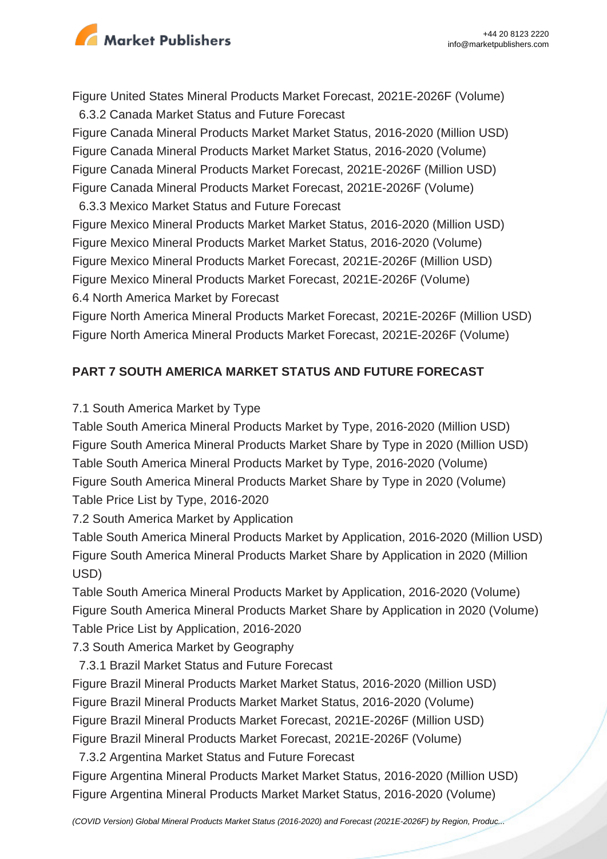

Figure United States Mineral Products Market Forecast, 2021E-2026F (Volume) 6.3.2 Canada Market Status and Future Forecast Figure Canada Mineral Products Market Market Status, 2016-2020 (Million USD) Figure Canada Mineral Products Market Market Status, 2016-2020 (Volume) Figure Canada Mineral Products Market Forecast, 2021E-2026F (Million USD) Figure Canada Mineral Products Market Forecast, 2021E-2026F (Volume) 6.3.3 Mexico Market Status and Future Forecast Figure Mexico Mineral Products Market Market Status, 2016-2020 (Million USD) Figure Mexico Mineral Products Market Market Status, 2016-2020 (Volume) Figure Mexico Mineral Products Market Forecast, 2021E-2026F (Million USD) Figure Mexico Mineral Products Market Forecast, 2021E-2026F (Volume) 6.4 North America Market by Forecast Figure North America Mineral Products Market Forecast, 2021E-2026F (Million USD)

#### **PART 7 SOUTH AMERICA MARKET STATUS AND FUTURE FORECAST**

Figure North America Mineral Products Market Forecast, 2021E-2026F (Volume)

#### 7.1 South America Market by Type

Table South America Mineral Products Market by Type, 2016-2020 (Million USD) Figure South America Mineral Products Market Share by Type in 2020 (Million USD) Table South America Mineral Products Market by Type, 2016-2020 (Volume) Figure South America Mineral Products Market Share by Type in 2020 (Volume) Table Price List by Type, 2016-2020

7.2 South America Market by Application

Table South America Mineral Products Market by Application, 2016-2020 (Million USD) Figure South America Mineral Products Market Share by Application in 2020 (Million USD)

Table South America Mineral Products Market by Application, 2016-2020 (Volume) Figure South America Mineral Products Market Share by Application in 2020 (Volume) Table Price List by Application, 2016-2020

7.3 South America Market by Geography

7.3.1 Brazil Market Status and Future Forecast

Figure Brazil Mineral Products Market Market Status, 2016-2020 (Million USD)

Figure Brazil Mineral Products Market Market Status, 2016-2020 (Volume)

Figure Brazil Mineral Products Market Forecast, 2021E-2026F (Million USD)

Figure Brazil Mineral Products Market Forecast, 2021E-2026F (Volume)

7.3.2 Argentina Market Status and Future Forecast

Figure Argentina Mineral Products Market Market Status, 2016-2020 (Million USD) Figure Argentina Mineral Products Market Market Status, 2016-2020 (Volume)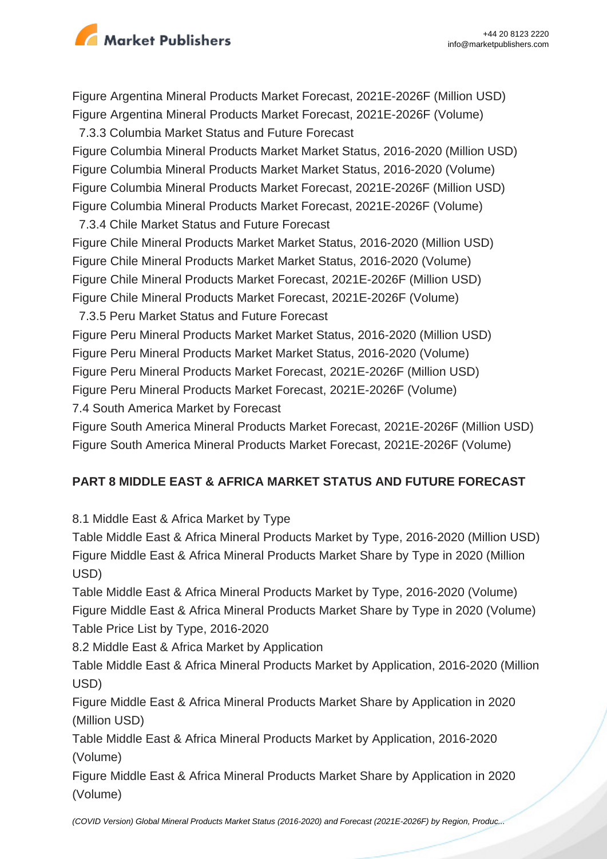

Figure Argentina Mineral Products Market Forecast, 2021E-2026F (Million USD) Figure Argentina Mineral Products Market Forecast, 2021E-2026F (Volume)

7.3.3 Columbia Market Status and Future Forecast

Figure Columbia Mineral Products Market Market Status, 2016-2020 (Million USD) Figure Columbia Mineral Products Market Market Status, 2016-2020 (Volume) Figure Columbia Mineral Products Market Forecast, 2021E-2026F (Million USD) Figure Columbia Mineral Products Market Forecast, 2021E-2026F (Volume)

7.3.4 Chile Market Status and Future Forecast

Figure Chile Mineral Products Market Market Status, 2016-2020 (Million USD) Figure Chile Mineral Products Market Market Status, 2016-2020 (Volume) Figure Chile Mineral Products Market Forecast, 2021E-2026F (Million USD) Figure Chile Mineral Products Market Forecast, 2021E-2026F (Volume)

7.3.5 Peru Market Status and Future Forecast

Figure Peru Mineral Products Market Market Status, 2016-2020 (Million USD) Figure Peru Mineral Products Market Market Status, 2016-2020 (Volume) Figure Peru Mineral Products Market Forecast, 2021E-2026F (Million USD)

Figure Peru Mineral Products Market Forecast, 2021E-2026F (Volume)

7.4 South America Market by Forecast

Figure South America Mineral Products Market Forecast, 2021E-2026F (Million USD) Figure South America Mineral Products Market Forecast, 2021E-2026F (Volume)

# **PART 8 MIDDLE EAST & AFRICA MARKET STATUS AND FUTURE FORECAST**

8.1 Middle East & Africa Market by Type

Table Middle East & Africa Mineral Products Market by Type, 2016-2020 (Million USD) Figure Middle East & Africa Mineral Products Market Share by Type in 2020 (Million USD)

Table Middle East & Africa Mineral Products Market by Type, 2016-2020 (Volume) Figure Middle East & Africa Mineral Products Market Share by Type in 2020 (Volume) Table Price List by Type, 2016-2020

8.2 Middle East & Africa Market by Application

Table Middle East & Africa Mineral Products Market by Application, 2016-2020 (Million USD)

Figure Middle East & Africa Mineral Products Market Share by Application in 2020 (Million USD)

Table Middle East & Africa Mineral Products Market by Application, 2016-2020 (Volume)

Figure Middle East & Africa Mineral Products Market Share by Application in 2020 (Volume)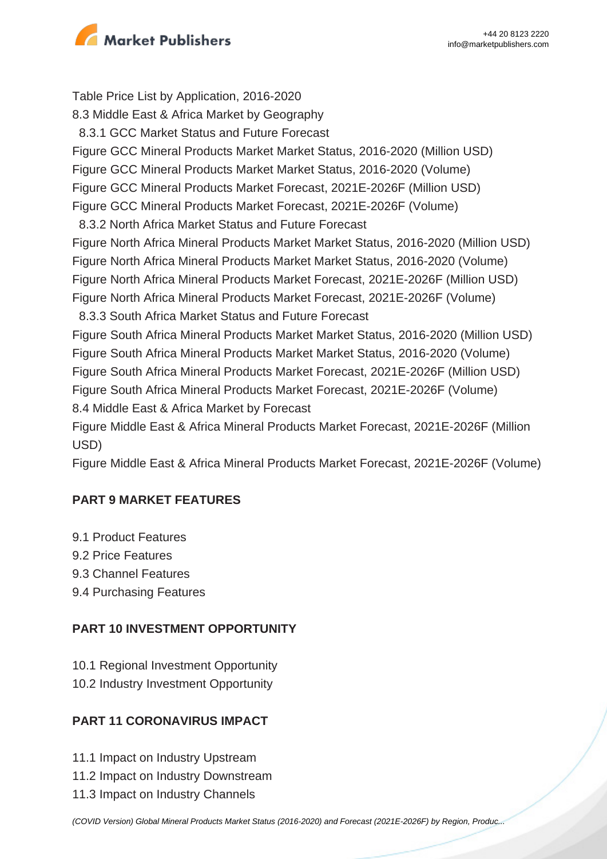

Table Price List by Application, 2016-2020 8.3 Middle East & Africa Market by Geography 8.3.1 GCC Market Status and Future Forecast Figure GCC Mineral Products Market Market Status, 2016-2020 (Million USD) Figure GCC Mineral Products Market Market Status, 2016-2020 (Volume) Figure GCC Mineral Products Market Forecast, 2021E-2026F (Million USD) Figure GCC Mineral Products Market Forecast, 2021E-2026F (Volume) 8.3.2 North Africa Market Status and Future Forecast Figure North Africa Mineral Products Market Market Status, 2016-2020 (Million USD) Figure North Africa Mineral Products Market Market Status, 2016-2020 (Volume) Figure North Africa Mineral Products Market Forecast, 2021E-2026F (Million USD) Figure North Africa Mineral Products Market Forecast, 2021E-2026F (Volume) 8.3.3 South Africa Market Status and Future Forecast Figure South Africa Mineral Products Market Market Status, 2016-2020 (Million USD) Figure South Africa Mineral Products Market Market Status, 2016-2020 (Volume) Figure South Africa Mineral Products Market Forecast, 2021E-2026F (Million USD) Figure South Africa Mineral Products Market Forecast, 2021E-2026F (Volume) 8.4 Middle East & Africa Market by Forecast Figure Middle East & Africa Mineral Products Market Forecast, 2021E-2026F (Million USD)

Figure Middle East & Africa Mineral Products Market Forecast, 2021E-2026F (Volume)

## **PART 9 MARKET FEATURES**

- 9.1 Product Features
- 9.2 Price Features
- 9.3 Channel Features
- 9.4 Purchasing Features

#### **PART 10 INVESTMENT OPPORTUNITY**

- 10.1 Regional Investment Opportunity
- 10.2 Industry Investment Opportunity

#### **PART 11 CORONAVIRUS IMPACT**

- 11.1 Impact on Industry Upstream
- 11.2 Impact on Industry Downstream
- 11.3 Impact on Industry Channels

[\(COVID Version\) Global Mineral Products Market Status \(2016-2020\) and Forecast \(2021E-2026F\) by Region, Produc...](https://marketpublishers.com/report/chemicals_petrochemicals/other-chemicals-products/covid-version-global-mineral-products-market-status-2016-2020-n-forecast-2021e-2026f-by-region-product-type-end-use.html)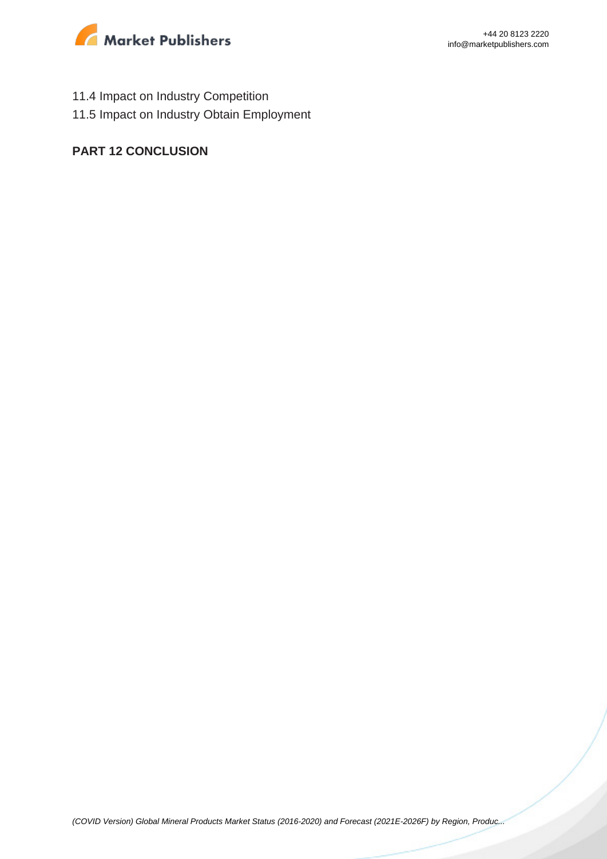

11.4 Impact on Industry Competition

11.5 Impact on Industry Obtain Employment

#### **PART 12 CONCLUSION**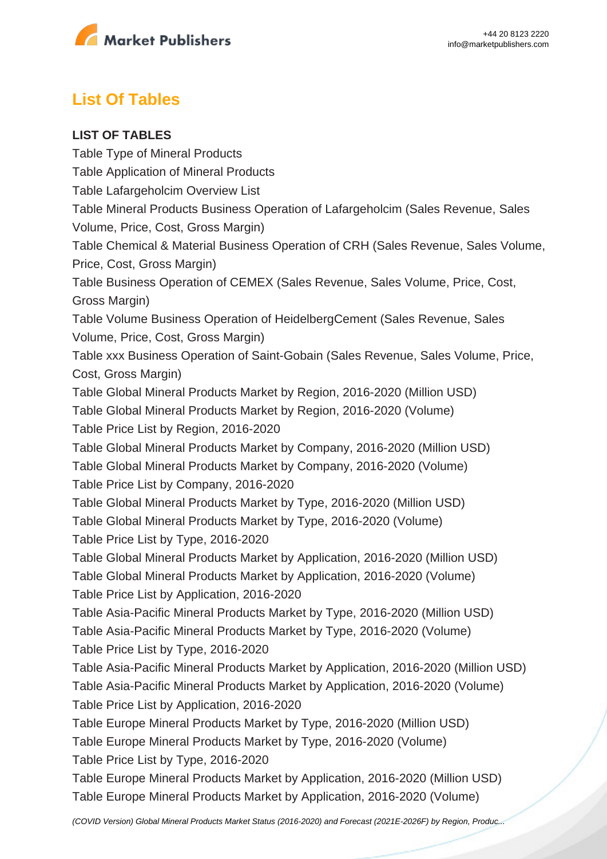

# **List Of Tables**

#### **LIST OF TABLES**

Table Type of Mineral Products Table Application of Mineral Products Table Lafargeholcim Overview List Table Mineral Products Business Operation of Lafargeholcim (Sales Revenue, Sales Volume, Price, Cost, Gross Margin) Table Chemical & Material Business Operation of CRH (Sales Revenue, Sales Volume, Price, Cost, Gross Margin) Table Business Operation of CEMEX (Sales Revenue, Sales Volume, Price, Cost, Gross Margin) Table Volume Business Operation of HeidelbergCement (Sales Revenue, Sales Volume, Price, Cost, Gross Margin) Table xxx Business Operation of Saint-Gobain (Sales Revenue, Sales Volume, Price, Cost, Gross Margin) Table Global Mineral Products Market by Region, 2016-2020 (Million USD) Table Global Mineral Products Market by Region, 2016-2020 (Volume) Table Price List by Region, 2016-2020 Table Global Mineral Products Market by Company, 2016-2020 (Million USD) Table Global Mineral Products Market by Company, 2016-2020 (Volume) Table Price List by Company, 2016-2020 Table Global Mineral Products Market by Type, 2016-2020 (Million USD) Table Global Mineral Products Market by Type, 2016-2020 (Volume) Table Price List by Type, 2016-2020 Table Global Mineral Products Market by Application, 2016-2020 (Million USD) Table Global Mineral Products Market by Application, 2016-2020 (Volume) Table Price List by Application, 2016-2020 Table Asia-Pacific Mineral Products Market by Type, 2016-2020 (Million USD) Table Asia-Pacific Mineral Products Market by Type, 2016-2020 (Volume) Table Price List by Type, 2016-2020 Table Asia-Pacific Mineral Products Market by Application, 2016-2020 (Million USD) Table Asia-Pacific Mineral Products Market by Application, 2016-2020 (Volume) Table Price List by Application, 2016-2020 Table Europe Mineral Products Market by Type, 2016-2020 (Million USD) Table Europe Mineral Products Market by Type, 2016-2020 (Volume) Table Price List by Type, 2016-2020 Table Europe Mineral Products Market by Application, 2016-2020 (Million USD) Table Europe Mineral Products Market by Application, 2016-2020 (Volume)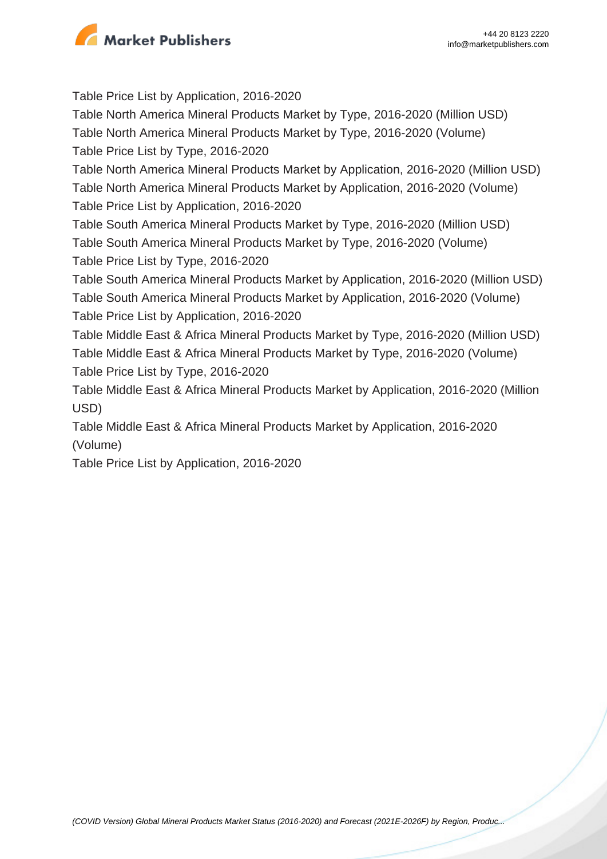

Table Price List by Application, 2016-2020 Table North America Mineral Products Market by Type, 2016-2020 (Million USD) Table North America Mineral Products Market by Type, 2016-2020 (Volume) Table Price List by Type, 2016-2020 Table North America Mineral Products Market by Application, 2016-2020 (Million USD) Table North America Mineral Products Market by Application, 2016-2020 (Volume) Table Price List by Application, 2016-2020 Table South America Mineral Products Market by Type, 2016-2020 (Million USD) Table South America Mineral Products Market by Type, 2016-2020 (Volume) Table Price List by Type, 2016-2020 Table South America Mineral Products Market by Application, 2016-2020 (Million USD) Table South America Mineral Products Market by Application, 2016-2020 (Volume) Table Price List by Application, 2016-2020 Table Middle East & Africa Mineral Products Market by Type, 2016-2020 (Million USD) Table Middle East & Africa Mineral Products Market by Type, 2016-2020 (Volume) Table Price List by Type, 2016-2020 Table Middle East & Africa Mineral Products Market by Application, 2016-2020 (Million USD) Table Middle East & Africa Mineral Products Market by Application, 2016-2020 (Volume) Table Price List by Application, 2016-2020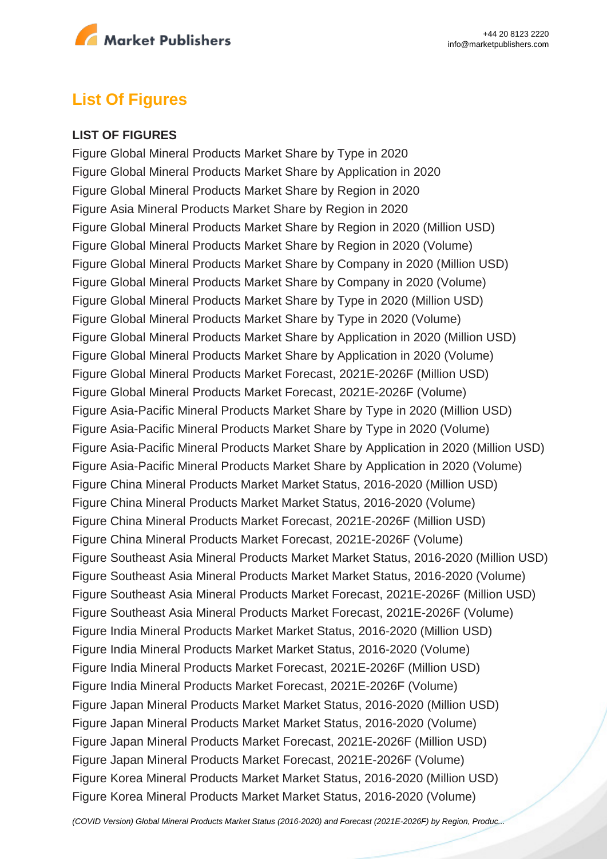

# **List Of Figures**

#### **LIST OF FIGURES**

Figure Global Mineral Products Market Share by Type in 2020 Figure Global Mineral Products Market Share by Application in 2020 Figure Global Mineral Products Market Share by Region in 2020 Figure Asia Mineral Products Market Share by Region in 2020 Figure Global Mineral Products Market Share by Region in 2020 (Million USD) Figure Global Mineral Products Market Share by Region in 2020 (Volume) Figure Global Mineral Products Market Share by Company in 2020 (Million USD) Figure Global Mineral Products Market Share by Company in 2020 (Volume) Figure Global Mineral Products Market Share by Type in 2020 (Million USD) Figure Global Mineral Products Market Share by Type in 2020 (Volume) Figure Global Mineral Products Market Share by Application in 2020 (Million USD) Figure Global Mineral Products Market Share by Application in 2020 (Volume) Figure Global Mineral Products Market Forecast, 2021E-2026F (Million USD) Figure Global Mineral Products Market Forecast, 2021E-2026F (Volume) Figure Asia-Pacific Mineral Products Market Share by Type in 2020 (Million USD) Figure Asia-Pacific Mineral Products Market Share by Type in 2020 (Volume) Figure Asia-Pacific Mineral Products Market Share by Application in 2020 (Million USD) Figure Asia-Pacific Mineral Products Market Share by Application in 2020 (Volume) Figure China Mineral Products Market Market Status, 2016-2020 (Million USD) Figure China Mineral Products Market Market Status, 2016-2020 (Volume) Figure China Mineral Products Market Forecast, 2021E-2026F (Million USD) Figure China Mineral Products Market Forecast, 2021E-2026F (Volume) Figure Southeast Asia Mineral Products Market Market Status, 2016-2020 (Million USD) Figure Southeast Asia Mineral Products Market Market Status, 2016-2020 (Volume) Figure Southeast Asia Mineral Products Market Forecast, 2021E-2026F (Million USD) Figure Southeast Asia Mineral Products Market Forecast, 2021E-2026F (Volume) Figure India Mineral Products Market Market Status, 2016-2020 (Million USD) Figure India Mineral Products Market Market Status, 2016-2020 (Volume) Figure India Mineral Products Market Forecast, 2021E-2026F (Million USD) Figure India Mineral Products Market Forecast, 2021E-2026F (Volume) Figure Japan Mineral Products Market Market Status, 2016-2020 (Million USD) Figure Japan Mineral Products Market Market Status, 2016-2020 (Volume) Figure Japan Mineral Products Market Forecast, 2021E-2026F (Million USD) Figure Japan Mineral Products Market Forecast, 2021E-2026F (Volume) Figure Korea Mineral Products Market Market Status, 2016-2020 (Million USD) Figure Korea Mineral Products Market Market Status, 2016-2020 (Volume)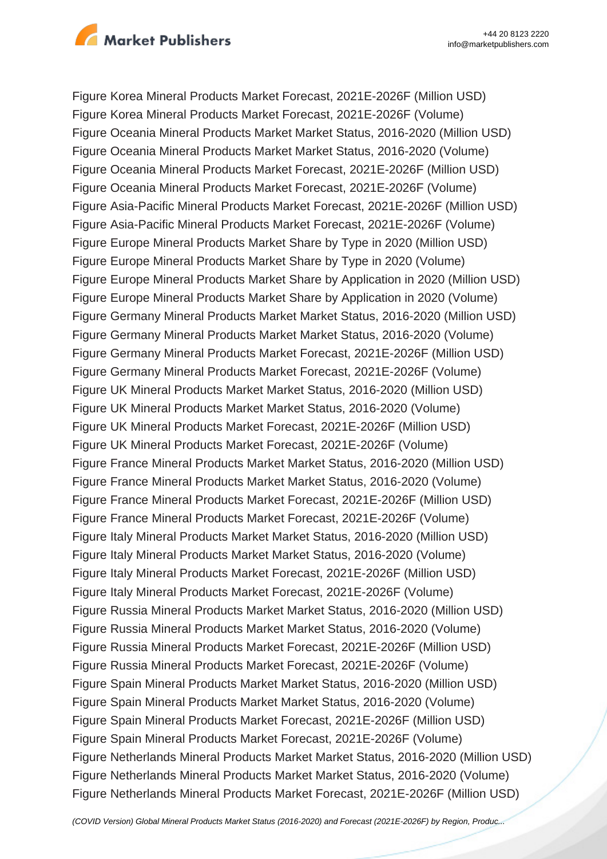

Figure Korea Mineral Products Market Forecast, 2021E-2026F (Million USD) Figure Korea Mineral Products Market Forecast, 2021E-2026F (Volume) Figure Oceania Mineral Products Market Market Status, 2016-2020 (Million USD) Figure Oceania Mineral Products Market Market Status, 2016-2020 (Volume) Figure Oceania Mineral Products Market Forecast, 2021E-2026F (Million USD) Figure Oceania Mineral Products Market Forecast, 2021E-2026F (Volume) Figure Asia-Pacific Mineral Products Market Forecast, 2021E-2026F (Million USD) Figure Asia-Pacific Mineral Products Market Forecast, 2021E-2026F (Volume) Figure Europe Mineral Products Market Share by Type in 2020 (Million USD) Figure Europe Mineral Products Market Share by Type in 2020 (Volume) Figure Europe Mineral Products Market Share by Application in 2020 (Million USD) Figure Europe Mineral Products Market Share by Application in 2020 (Volume) Figure Germany Mineral Products Market Market Status, 2016-2020 (Million USD) Figure Germany Mineral Products Market Market Status, 2016-2020 (Volume) Figure Germany Mineral Products Market Forecast, 2021E-2026F (Million USD) Figure Germany Mineral Products Market Forecast, 2021E-2026F (Volume) Figure UK Mineral Products Market Market Status, 2016-2020 (Million USD) Figure UK Mineral Products Market Market Status, 2016-2020 (Volume) Figure UK Mineral Products Market Forecast, 2021E-2026F (Million USD) Figure UK Mineral Products Market Forecast, 2021E-2026F (Volume) Figure France Mineral Products Market Market Status, 2016-2020 (Million USD) Figure France Mineral Products Market Market Status, 2016-2020 (Volume) Figure France Mineral Products Market Forecast, 2021E-2026F (Million USD) Figure France Mineral Products Market Forecast, 2021E-2026F (Volume) Figure Italy Mineral Products Market Market Status, 2016-2020 (Million USD) Figure Italy Mineral Products Market Market Status, 2016-2020 (Volume) Figure Italy Mineral Products Market Forecast, 2021E-2026F (Million USD) Figure Italy Mineral Products Market Forecast, 2021E-2026F (Volume) Figure Russia Mineral Products Market Market Status, 2016-2020 (Million USD) Figure Russia Mineral Products Market Market Status, 2016-2020 (Volume) Figure Russia Mineral Products Market Forecast, 2021E-2026F (Million USD) Figure Russia Mineral Products Market Forecast, 2021E-2026F (Volume) Figure Spain Mineral Products Market Market Status, 2016-2020 (Million USD) Figure Spain Mineral Products Market Market Status, 2016-2020 (Volume) Figure Spain Mineral Products Market Forecast, 2021E-2026F (Million USD) Figure Spain Mineral Products Market Forecast, 2021E-2026F (Volume) Figure Netherlands Mineral Products Market Market Status, 2016-2020 (Million USD) Figure Netherlands Mineral Products Market Market Status, 2016-2020 (Volume) Figure Netherlands Mineral Products Market Forecast, 2021E-2026F (Million USD)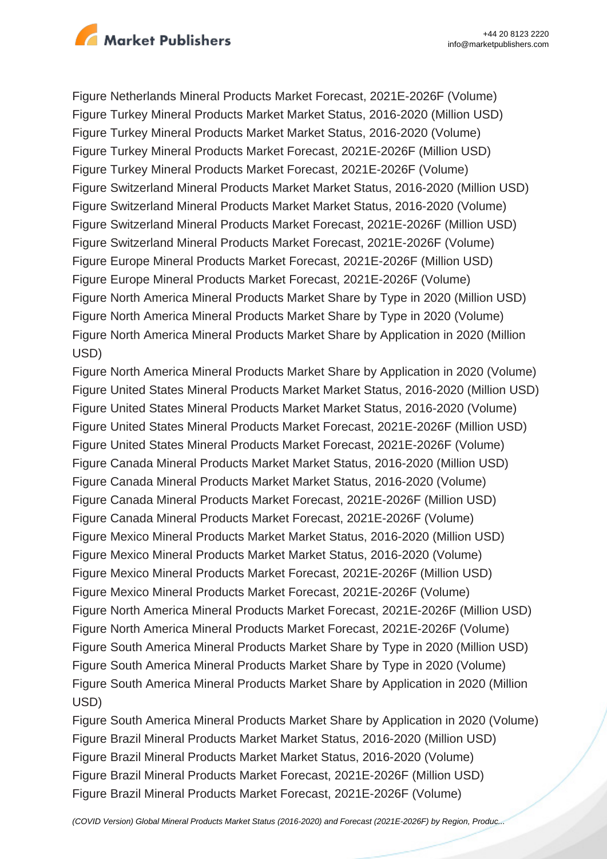

Figure Netherlands Mineral Products Market Forecast, 2021E-2026F (Volume) Figure Turkey Mineral Products Market Market Status, 2016-2020 (Million USD) Figure Turkey Mineral Products Market Market Status, 2016-2020 (Volume) Figure Turkey Mineral Products Market Forecast, 2021E-2026F (Million USD) Figure Turkey Mineral Products Market Forecast, 2021E-2026F (Volume) Figure Switzerland Mineral Products Market Market Status, 2016-2020 (Million USD) Figure Switzerland Mineral Products Market Market Status, 2016-2020 (Volume) Figure Switzerland Mineral Products Market Forecast, 2021E-2026F (Million USD) Figure Switzerland Mineral Products Market Forecast, 2021E-2026F (Volume) Figure Europe Mineral Products Market Forecast, 2021E-2026F (Million USD) Figure Europe Mineral Products Market Forecast, 2021E-2026F (Volume) Figure North America Mineral Products Market Share by Type in 2020 (Million USD) Figure North America Mineral Products Market Share by Type in 2020 (Volume) Figure North America Mineral Products Market Share by Application in 2020 (Million USD)

Figure North America Mineral Products Market Share by Application in 2020 (Volume) Figure United States Mineral Products Market Market Status, 2016-2020 (Million USD) Figure United States Mineral Products Market Market Status, 2016-2020 (Volume) Figure United States Mineral Products Market Forecast, 2021E-2026F (Million USD) Figure United States Mineral Products Market Forecast, 2021E-2026F (Volume) Figure Canada Mineral Products Market Market Status, 2016-2020 (Million USD) Figure Canada Mineral Products Market Market Status, 2016-2020 (Volume) Figure Canada Mineral Products Market Forecast, 2021E-2026F (Million USD) Figure Canada Mineral Products Market Forecast, 2021E-2026F (Volume) Figure Mexico Mineral Products Market Market Status, 2016-2020 (Million USD) Figure Mexico Mineral Products Market Market Status, 2016-2020 (Volume) Figure Mexico Mineral Products Market Forecast, 2021E-2026F (Million USD) Figure Mexico Mineral Products Market Forecast, 2021E-2026F (Volume) Figure North America Mineral Products Market Forecast, 2021E-2026F (Million USD) Figure North America Mineral Products Market Forecast, 2021E-2026F (Volume) Figure South America Mineral Products Market Share by Type in 2020 (Million USD) Figure South America Mineral Products Market Share by Type in 2020 (Volume) Figure South America Mineral Products Market Share by Application in 2020 (Million USD)

Figure South America Mineral Products Market Share by Application in 2020 (Volume) Figure Brazil Mineral Products Market Market Status, 2016-2020 (Million USD) Figure Brazil Mineral Products Market Market Status, 2016-2020 (Volume) Figure Brazil Mineral Products Market Forecast, 2021E-2026F (Million USD) Figure Brazil Mineral Products Market Forecast, 2021E-2026F (Volume)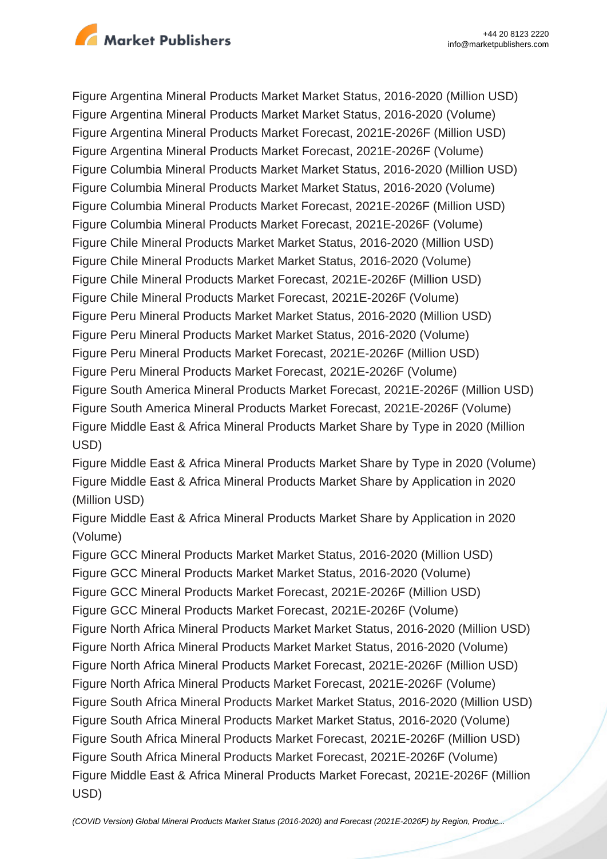

Figure Argentina Mineral Products Market Market Status, 2016-2020 (Million USD) Figure Argentina Mineral Products Market Market Status, 2016-2020 (Volume) Figure Argentina Mineral Products Market Forecast, 2021E-2026F (Million USD) Figure Argentina Mineral Products Market Forecast, 2021E-2026F (Volume) Figure Columbia Mineral Products Market Market Status, 2016-2020 (Million USD) Figure Columbia Mineral Products Market Market Status, 2016-2020 (Volume) Figure Columbia Mineral Products Market Forecast, 2021E-2026F (Million USD) Figure Columbia Mineral Products Market Forecast, 2021E-2026F (Volume) Figure Chile Mineral Products Market Market Status, 2016-2020 (Million USD) Figure Chile Mineral Products Market Market Status, 2016-2020 (Volume) Figure Chile Mineral Products Market Forecast, 2021E-2026F (Million USD) Figure Chile Mineral Products Market Forecast, 2021E-2026F (Volume) Figure Peru Mineral Products Market Market Status, 2016-2020 (Million USD) Figure Peru Mineral Products Market Market Status, 2016-2020 (Volume) Figure Peru Mineral Products Market Forecast, 2021E-2026F (Million USD) Figure Peru Mineral Products Market Forecast, 2021E-2026F (Volume) Figure South America Mineral Products Market Forecast, 2021E-2026F (Million USD) Figure South America Mineral Products Market Forecast, 2021E-2026F (Volume) Figure Middle East & Africa Mineral Products Market Share by Type in 2020 (Million USD)

Figure Middle East & Africa Mineral Products Market Share by Type in 2020 (Volume) Figure Middle East & Africa Mineral Products Market Share by Application in 2020 (Million USD)

Figure Middle East & Africa Mineral Products Market Share by Application in 2020 (Volume)

Figure GCC Mineral Products Market Market Status, 2016-2020 (Million USD) Figure GCC Mineral Products Market Market Status, 2016-2020 (Volume) Figure GCC Mineral Products Market Forecast, 2021E-2026F (Million USD) Figure GCC Mineral Products Market Forecast, 2021E-2026F (Volume) Figure North Africa Mineral Products Market Market Status, 2016-2020 (Million USD) Figure North Africa Mineral Products Market Market Status, 2016-2020 (Volume) Figure North Africa Mineral Products Market Forecast, 2021E-2026F (Million USD) Figure North Africa Mineral Products Market Forecast, 2021E-2026F (Volume) Figure South Africa Mineral Products Market Market Status, 2016-2020 (Million USD) Figure South Africa Mineral Products Market Market Status, 2016-2020 (Volume) Figure South Africa Mineral Products Market Forecast, 2021E-2026F (Million USD) Figure South Africa Mineral Products Market Forecast, 2021E-2026F (Volume) Figure Middle East & Africa Mineral Products Market Forecast, 2021E-2026F (Million USD)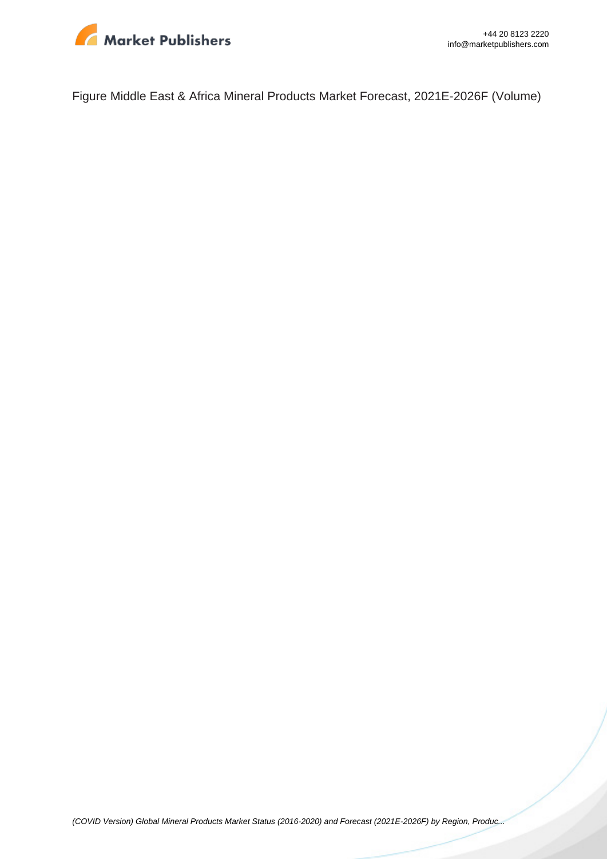

Figure Middle East & Africa Mineral Products Market Forecast, 2021E-2026F (Volume)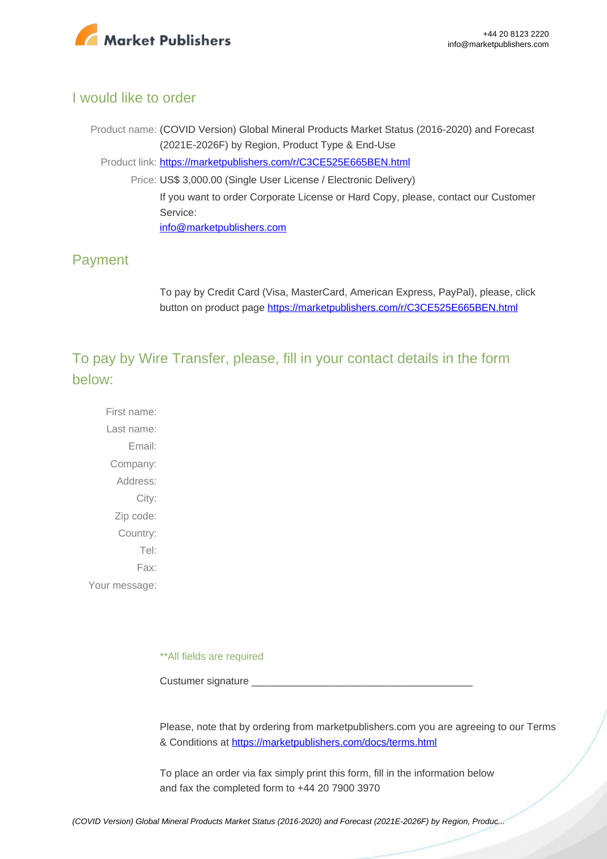

#### I would like to order

Product name: (COVID Version) Global Mineral Products Market Status (2016-2020) and Forecast (2021E-2026F) by Region, Product Type & End-Use Product link: [https://marketpublishers.com/r/C3CE525E665BEN.html](https://marketpublishers.com/report/chemicals_petrochemicals/other-chemicals-products/covid-version-global-mineral-products-market-status-2016-2020-n-forecast-2021e-2026f-by-region-product-type-end-use.html) Price: US\$ 3,000.00 (Single User License / Electronic Delivery) If you want to order Corporate License or Hard Copy, please, contact our Customer Service: [info@marketpublishers.com](mailto:info@marketpublishers.com)

# Payment

To pay by Credit Card (Visa, MasterCard, American Express, PayPal), please, click button on product page [https://marketpublishers.com/r/C3CE525E665BEN.html](https://marketpublishers.com/report/chemicals_petrochemicals/other-chemicals-products/covid-version-global-mineral-products-market-status-2016-2020-n-forecast-2021e-2026f-by-region-product-type-end-use.html)

To pay by Wire Transfer, please, fill in your contact details in the form below:

First name: Last name: Email: Company: Address: City: Zip code: Country: Tel: Fax: Your message:

\*\*All fields are required

Custumer signature

Please, note that by ordering from marketpublishers.com you are agreeing to our Terms & Conditions at<https://marketpublishers.com/docs/terms.html>

To place an order via fax simply print this form, fill in the information below and fax the completed form to +44 20 7900 3970